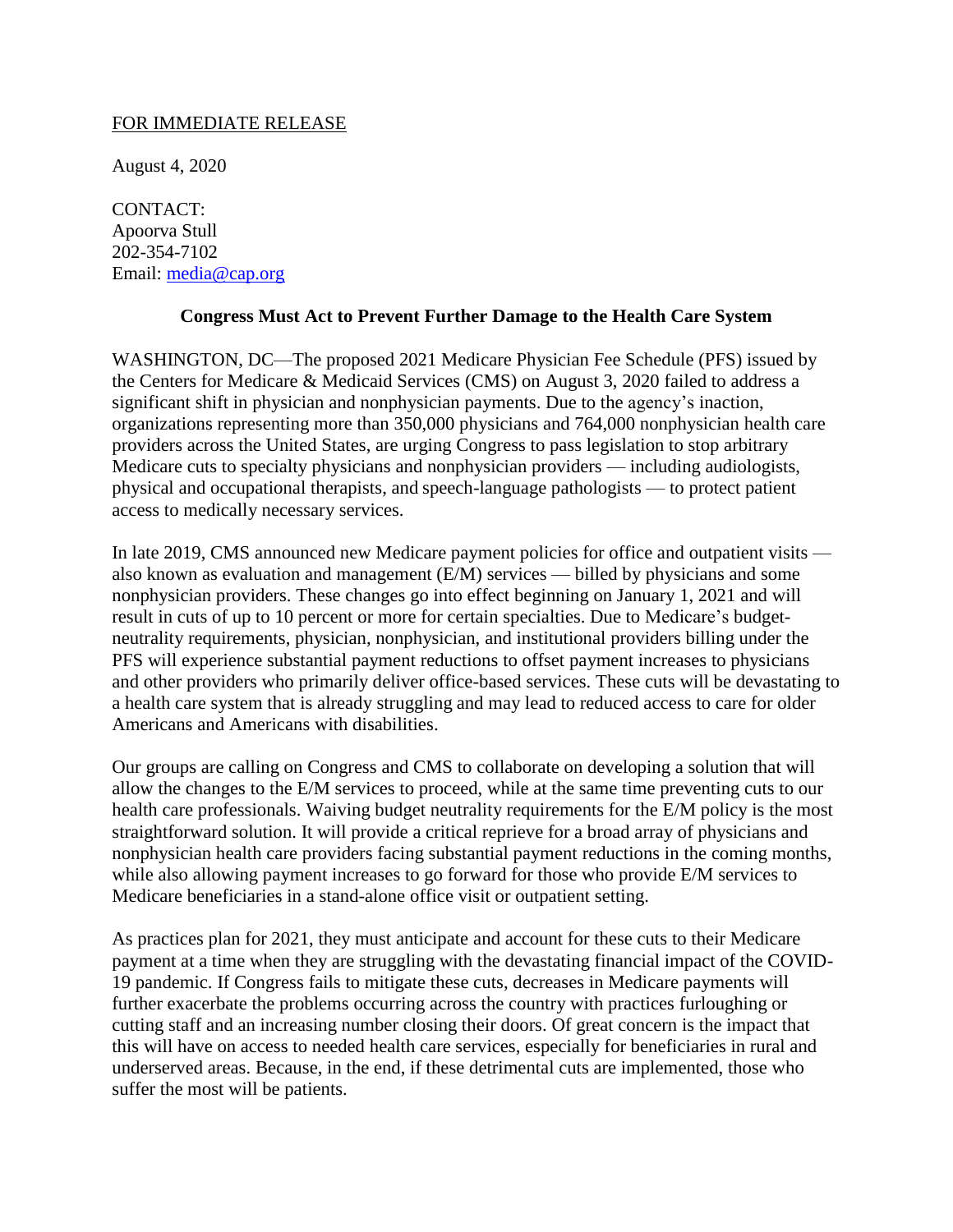## FOR IMMEDIATE RELEASE

August 4, 2020

CONTACT: Apoorva Stull 202-354-7102 Email: [media@cap.org](mailto:media@cap.org)

## **Congress Must Act to Prevent Further Damage to the Health Care System**

WASHINGTON, DC—The proposed 2021 Medicare Physician Fee Schedule (PFS) issued by the Centers for Medicare & Medicaid Services (CMS) on August 3, 2020 failed to address a significant shift in physician and nonphysician payments. Due to the agency's inaction, organizations representing more than 350,000 physicians and 764,000 nonphysician health care providers across the United States, are urging Congress to pass legislation to stop arbitrary Medicare cuts to specialty physicians and nonphysician providers — including audiologists, physical and occupational therapists, and speech-language pathologists — to protect patient access to medically necessary services.

In late 2019, CMS announced new Medicare payment policies for office and outpatient visits also known as evaluation and management (E/M) services — billed by physicians and some nonphysician providers. These changes go into effect beginning on January 1, 2021 and will result in cuts of up to 10 percent or more for certain specialties. Due to Medicare's budgetneutrality requirements, physician, nonphysician, and institutional providers billing under the PFS will experience substantial payment reductions to offset payment increases to physicians and other providers who primarily deliver office-based services. These cuts will be devastating to a health care system that is already struggling and may lead to reduced access to care for older Americans and Americans with disabilities.

Our groups are calling on Congress and CMS to collaborate on developing a solution that will allow the changes to the E/M services to proceed, while at the same time preventing cuts to our health care professionals. Waiving budget neutrality requirements for the E/M policy is the most straightforward solution. It will provide a critical reprieve for a broad array of physicians and nonphysician health care providers facing substantial payment reductions in the coming months, while also allowing payment increases to go forward for those who provide E/M services to Medicare beneficiaries in a stand-alone office visit or outpatient setting.

As practices plan for 2021, they must anticipate and account for these cuts to their Medicare payment at a time when they are struggling with the devastating financial impact of the COVID-19 pandemic. If Congress fails to mitigate these cuts, decreases in Medicare payments will further exacerbate the problems occurring across the country with practices furloughing or cutting staff and an increasing number closing their doors. Of great concern is the impact that this will have on access to needed health care services, especially for beneficiaries in rural and underserved areas. Because, in the end, if these detrimental cuts are implemented, those who suffer the most will be patients.